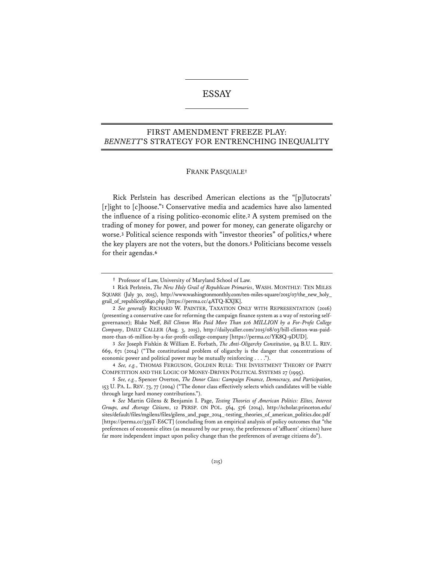## ESSAY

## FIRST AMENDMENT FREEZE PLAY: *BENNETT*'S STRATEGY FOR ENTRENCHING INEQUALITY

## FRANK PASQUALE**†**

Rick Perlstein has described American elections as the "[p]lutocrats' [r]ight to [c]hoose."**<sup>1</sup>** Conservative media and academics have also lamented the influence of a rising politico-economic elite.**<sup>2</sup>** A system premised on the trading of money for power, and power for money, can generate oligarchy or worse.**<sup>3</sup>** Political science responds with "investor theories" of politics,**<sup>4</sup>** where the key players are not the voters, but the donors.**<sup>5</sup>** Politicians become vessels for their agendas.**<sup>6</sup>**

**<sup>†</sup>** Professor of Law, University of Maryland School of Law.

**<sup>1</sup>** Rick Perlstein, *The New Holy Grail of Republican Primaries*, WASH. MONTHLY: TEN MILES SQUARE (July 30, 2015), http://www.washingtonmonthly.com/ten-miles-square/2015/07/the\_new\_holy\_ grail\_of\_republic056840.php [https://perma.cc/4ATQ-KXJK].

**<sup>2</sup>** *See generally* RICHARD W. PAINTER, TAXATION ONLY WITH REPRESENTATION (2016) (presenting a conservative case for reforming the campaign finance system as a way of restoring selfgovernance); Blake Neff, *Bill Clinton Was Paid More Than \$16 MILLION by a For-Profit College Company*, DAILY CALLER (Aug. 3, 2015), http://dailycaller.com/2015/08/03/bill-clinton-was-paidmore-than-16-million-by-a-for-profit-college-company [https://perma.cc/YK8Q-9DUD].

**<sup>3</sup>** *See* Joseph Fishkin & William E. Forbath, *The Anti-Oligarchy Constitution*, 94 B.U. L. REV. 669, 671 (2014) ("The constitutional problem of oligarchy is the danger that concentrations of economic power and political power may be mutually reinforcing . . . .").

**<sup>4</sup>** *See, e.g.*, THOMAS FERGUSON, GOLDEN RULE: THE INVESTMENT THEORY OF PARTY COMPETITION AND THE LOGIC OF MONEY-DRIVEN POLITICAL SYSTEMS 27 (1995).

**<sup>5</sup>** *See, e.g.*, Spencer Overton, *The Donor Class: Campaign Finance, Democracy, and Participation*, 153 U. PA. L. REV. 73, 77 (2004) ("The donor class effectively selects which candidates will be viable through large hard money contributions.").

**<sup>6</sup>** *See* Martin Gilens & Benjamin I. Page, *Testing Theories of American Politics: Elites, Interest Groups, and Average Citizens*, 12 PERSP. ON POL. 564, 576 (2014), http://scholar.princeton.edu/ sites/default/files/mgilens/files/gilens\_and\_page\_2014\_-testing\_theories\_of\_american\_politics.doc.pdf [https://perma.cc/359T-E6CT] (concluding from an empirical analysis of policy outcomes that "the preferences of economic elites (as measured by our proxy, the preferences of 'affluent' citizens) have far more independent impact upon policy change than the preferences of average citizens do").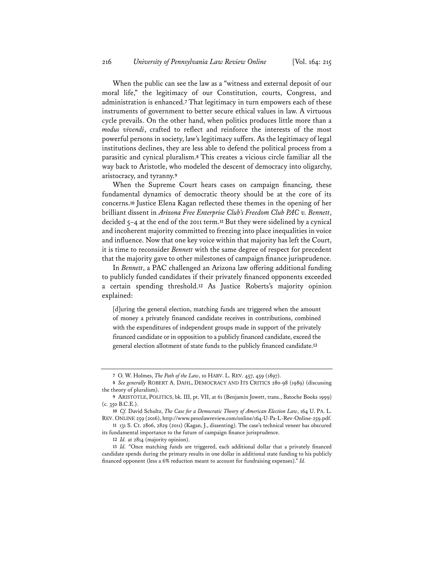When the public can see the law as a "witness and external deposit of our moral life," the legitimacy of our Constitution, courts, Congress, and administration is enhanced.**<sup>7</sup>** That legitimacy in turn empowers each of these instruments of government to better secure ethical values in law. A virtuous cycle prevails. On the other hand, when politics produces little more than a *modus vivendi*, crafted to reflect and reinforce the interests of the most powerful persons in society, law's legitimacy suffers. As the legitimacy of legal institutions declines, they are less able to defend the political process from a parasitic and cynical pluralism.**<sup>8</sup>** This creates a vicious circle familiar all the way back to Aristotle, who modeled the descent of democracy into oligarchy, aristocracy, and tyranny.**<sup>9</sup>**

When the Supreme Court hears cases on campaign financing, these fundamental dynamics of democratic theory should be at the core of its concerns.**<sup>10</sup>** Justice Elena Kagan reflected these themes in the opening of her brilliant dissent in *Arizona Free Enterprise Club's Freedom Club PAC v. Bennett*, decided 5–4 at the end of the 2011 term.**<sup>11</sup>** But they were sidelined by a cynical and incoherent majority committed to freezing into place inequalities in voice and influence. Now that one key voice within that majority has left the Court, it is time to reconsider *Bennett* with the same degree of respect for precedent that the majority gave to other milestones of campaign finance jurisprudence.

In *Bennett*, a PAC challenged an Arizona law offering additional funding to publicly funded candidates if their privately financed opponents exceeded a certain spending threshold.**<sup>12</sup>** As Justice Roberts's majority opinion explained:

[d]uring the general election, matching funds are triggered when the amount of money a privately financed candidate receives in contributions, combined with the expenditures of independent groups made in support of the privately financed candidate or in opposition to a publicly financed candidate, exceed the general election allotment of state funds to the publicly financed candidate.**<sup>13</sup>**

**12** *Id.* at 2814 (majority opinion).

**<sup>7</sup>** O. W. Holmes, *The Path of the Law*, 10 HARV. L. REV. 457, 459 (1897).

**<sup>8</sup>** *See generally* ROBERT A. DAHL, DEMOCRACY AND ITS CRITICS 280-98 (1989) (discussing the theory of pluralism).

**<sup>9</sup>** ARISTOTLE, POLITICS, bk. III, pt. VII, at 61 (Benjamin Jowett, trans., Batoche Books 1999) (c. 350 B.C.E.).

**<sup>10</sup>** *Cf.* David Schultz, *The Case for a Democratic Theory of American Election Law*, 164 U. PA. L. REV. ONLINE 259 (2016), http://www.pennlawreview.com/online/164-U-Pa-L-Rev-Online-259.pdf.

**<sup>11</sup>** 131 S. Ct. 2806, 2829 (2011) (Kagan, J., dissenting). The case's technical veneer has obscured its fundamental importance to the future of campaign finance jurisprudence.

**<sup>13</sup>** *Id.* "Once matching funds are triggered, each additional dollar that a privately financed candidate spends during the primary results in one dollar in additional state funding to his publicly financed opponent (less a 6% reduction meant to account for fundraising expenses)." *Id.*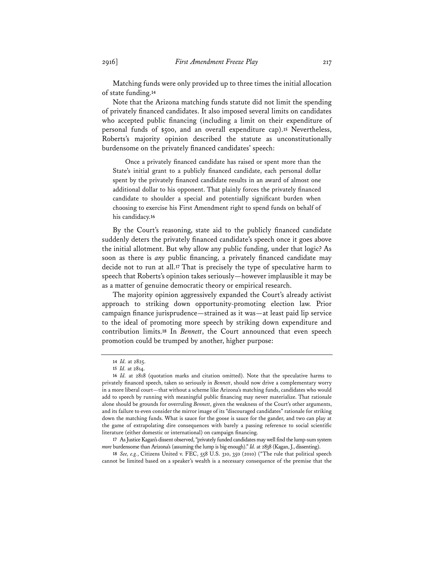Matching funds were only provided up to three times the initial allocation of state funding.**<sup>14</sup>**

Note that the Arizona matching funds statute did not limit the spending of privately financed candidates. It also imposed several limits on candidates who accepted public financing (including a limit on their expenditure of personal funds of \$500, and an overall expenditure cap).**<sup>15</sup>** Nevertheless, Roberts's majority opinion described the statute as unconstitutionally burdensome on the privately financed candidates' speech:

 Once a privately financed candidate has raised or spent more than the State's initial grant to a publicly financed candidate, each personal dollar spent by the privately financed candidate results in an award of almost one additional dollar to his opponent. That plainly forces the privately financed candidate to shoulder a special and potentially significant burden when choosing to exercise his First Amendment right to spend funds on behalf of his candidacy.**<sup>16</sup>**

By the Court's reasoning, state aid to the publicly financed candidate suddenly deters the privately financed candidate's speech once it goes above the initial allotment. But why allow any public funding, under that logic? As soon as there is *any* public financing, a privately financed candidate may decide not to run at all.**<sup>17</sup>** That is precisely the type of speculative harm to speech that Roberts's opinion takes seriously—however implausible it may be as a matter of genuine democratic theory or empirical research.

The majority opinion aggressively expanded the Court's already activist approach to striking down opportunity-promoting election law. Prior campaign finance jurisprudence—strained as it was—at least paid lip service to the ideal of promoting more speech by striking down expenditure and contribution limits.**<sup>18</sup>** In *Bennett*, the Court announced that even speech promotion could be trumped by another, higher purpose:

**17** As Justice Kagan's dissent observed, "privately funded candidates may well find the lump-sum system *more* burdensome than Arizona's (assuming the lump is big enough)." *Id.* at 2838 (Kagan, J., dissenting).

**18** *See, e.g.*, Citizens United v. FEC, 558 U.S. 310, 350 (2010) ("The rule that political speech cannot be limited based on a speaker's wealth is a necessary consequence of the premise that the

**<sup>14</sup>** *Id.* at 2825.

**<sup>15</sup>** *Id.* at 2814.

**<sup>16</sup>** *Id.* at 2818 (quotation marks and citation omitted). Note that the speculative harms to privately financed speech, taken so seriously in *Bennett*, should now drive a complementary worry in a more liberal court—that without a scheme like Arizona's matching funds, candidates who would add to speech by running with meaningful public financing may never materialize. That rationale alone should be grounds for overruling *Bennett*, given the weakness of the Court's other arguments, and its failure to even consider the mirror image of its "discouraged candidates" rationale for striking down the matching funds. What is sauce for the goose is sauce for the gander, and two can play at the game of extrapolating dire consequences with barely a passing reference to social scientific literature (either domestic or international) on campaign financing.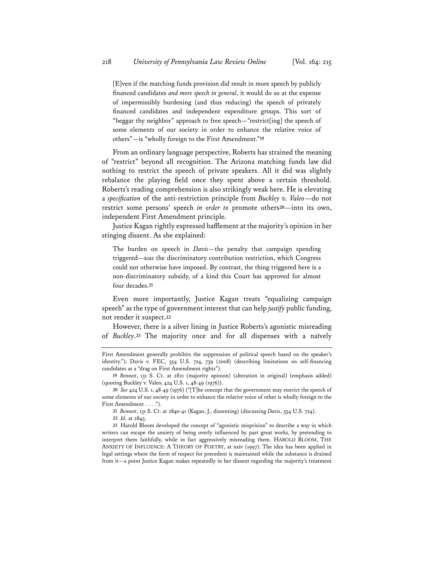[E]ven if the matching funds provision did result in more speech by publicly financed candidates *and more speech in general*, it would do so at the expense of impermissibly burdening (and thus reducing) the speech of privately financed candidates and independent expenditure groups. This sort of "beggar thy neighbor" approach to free speech—"restrict[ing] the speech of some elements of our society in order to enhance the relative voice of others"—is "wholly foreign to the First Amendment."**<sup>19</sup>**

From an ordinary language perspective, Roberts has strained the meaning of "restrict" beyond all recognition. The Arizona matching funds law did nothing to restrict the speech of private speakers. All it did was slightly rebalance the playing field once they spent above a certain threshold. Roberts's reading comprehension is also strikingly weak here. He is elevating a *specification* of the anti-restriction principle from *Buckley v. Valeo*—do not restrict some persons' speech *in order to* promote others**<sup>20</sup>**—into its own, independent First Amendment principle.

Justice Kagan rightly expressed bafflement at the majority's opinion in her stinging dissent. As she explained:

The burden on speech in *Davis*—the penalty that campaign spending triggered—*was* the discriminatory contribution restriction, which Congress could not otherwise have imposed. By contrast, the thing triggered here is a non-discriminatory subsidy, of a kind this Court has approved for almost four decades.**<sup>21</sup>**

Even more importantly, Justice Kagan treats "equalizing campaign speech" as the type of government interest that can help *justify* public funding, not render it suspect.**<sup>22</sup>**

However, there is a silver lining in Justice Roberts's agonistic misreading of *Buckley*.**<sup>23</sup>** The majority once and for all dispenses with a naïvely

**21** *Bennett*, 131 S. Ct. at 2840-41 (Kagan, J., dissenting) (discussing *Davis*, 554 U.S. 724).

**22** *Id.* at 2845.

**23** Harold Bloom developed the concept of "agonistic misprision" to describe a way in which writers can escape the anxiety of being overly influenced by past great works, by pretending to interpret them faithfully, while in fact aggressively misreading them. HAROLD BLOOM, THE ANXIETY OF INFLUENCE: A THEORY OF POETRY, at xxiv (1997). The idea has been applied in legal settings where the form of respect for precedent is maintained while the substance is drained from it—a point Justice Kagan makes repeatedly in her dissent regarding the majority's treatment

First Amendment generally prohibits the suppression of political speech based on the speaker's identity."); Davis v. FEC, 554 U.S. 724, 739 (2008) (describing limitations on self-financing candidates as a "drag on First Amendment rights").

**<sup>19</sup>** *Bennett*, 131 S. Ct. at 2821 (majority opinion) (alteration in original) (emphasis added) (quoting Buckley v. Valeo, 424 U.S. 1, 48-49 (1976)).

**<sup>20</sup>** *See* 424 U.S. 1, 48-49 (1976) ("[T]he concept that the government may restrict the speech of some elements of our society in order to enhance the relative voice of other is wholly foreign to the First Amendment . . . .").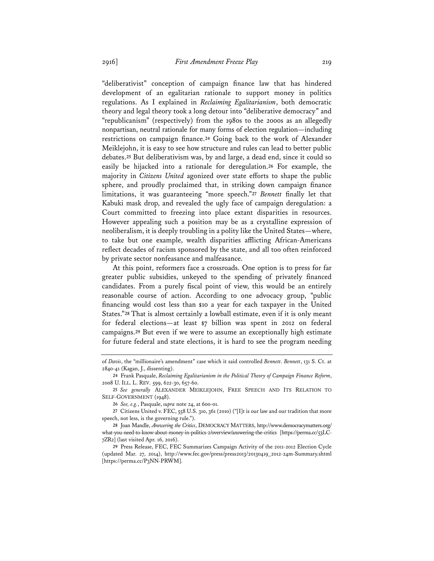"deliberativist" conception of campaign finance law that has hindered development of an egalitarian rationale to support money in politics regulations. As I explained in *Reclaiming Egalitarianism*, both democratic theory and legal theory took a long detour into "deliberative democracy" and "republicanism" (respectively) from the 1980s to the 2000s as an allegedly nonpartisan, neutral rationale for many forms of election regulation—including restrictions on campaign finance.**<sup>24</sup>** Going back to the work of Alexander Meiklejohn, it is easy to see how structure and rules can lead to better public debates.**<sup>25</sup>** But deliberativism was, by and large, a dead end, since it could so easily be hijacked into a rationale for deregulation.**<sup>26</sup>** For example, the majority in *Citizens United* agonized over state efforts to shape the public sphere, and proudly proclaimed that, in striking down campaign finance limitations, it was guaranteeing "more speech."**<sup>27</sup>** *Bennett* finally let that Kabuki mask drop, and revealed the ugly face of campaign deregulation: a Court committed to freezing into place extant disparities in resources. However appealing such a position may be as a crystalline expression of neoliberalism, it is deeply troubling in a polity like the United States—where, to take but one example, wealth disparities afflicting African-Americans reflect decades of racism sponsored by the state, and all too often reinforced by private sector nonfeasance and malfeasance.

At this point, reformers face a crossroads. One option is to press for far greater public subsidies, unkeyed to the spending of privately financed candidates. From a purely fiscal point of view, this would be an entirely reasonable course of action. According to one advocacy group, "public financing would cost less than \$10 a year for each taxpayer in the United States."**<sup>28</sup>** That is almost certainly a lowball estimate, even if it is only meant for federal elections—at least \$7 billion was spent in 2012 on federal campaigns.**<sup>29</sup>** But even if we were to assume an exceptionally high estimate for future federal and state elections, it is hard to see the program needing

of *Davis*, the "millionaire's amendment" case which it said controlled *Bennett*. *Bennett*, 131 S. Ct. at 2840-41 (Kagan, J., dissenting).

**<sup>24</sup>** Frank Pasquale, *Reclaiming Egalitarianism in the Political Theory of Campaign Finance Reform*, 2008 U. ILL. L. REV. 599, 622-30, 657-60.

**<sup>25</sup>** *See generally* ALEXANDER MEIKLEJOHN, FREE SPEECH AND ITS RELATION TO SELF-GOVERNMENT (1948).

**<sup>26</sup>** *See, e.g.*, Pasquale, *supra* note 24, at 600-01.

**<sup>27</sup>** Citizens United v. FEC, 558 U.S. 310, 361 (2010) ("[I]t is our law and our tradition that more speech, not less, is the governing rule.").

**<sup>28</sup>** Joan Mandle, *Answering the Critics*, DEMOCRACY MATTERS, http://www.democracymatters.org/ what-you-need-to-know-about-money-in-politics-2/overview/answering-the-critics [https://perma.cc/53LC-7ZR2] (last visited Apr. 16, 2016).

**<sup>29</sup>** Press Release, FEC, FEC Summarizes Campaign Activity of the 2011-2012 Election Cycle (updated Mar. 27, 2014), http://www.fec.gov/press/press2013/20130419\_2012-24m-Summary.shtml [https://perma.cc/P3NN-PRWM].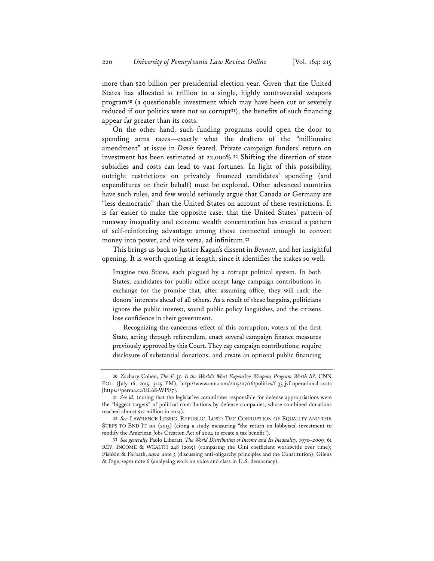more than \$20 billion per presidential election year. Given that the United States has allocated \$1 trillion to a single, highly controversial weapons program**<sup>30</sup>** (a questionable investment which may have been cut or severely reduced if our politics were not so corrupt**<sup>31</sup>**), the benefits of such financing appear far greater than its costs.

On the other hand, such funding programs could open the door to spending arms races—exactly what the drafters of the "millionaire amendment" at issue in *Davis* feared. Private campaign funders' return on investment has been estimated at 22,000%.**<sup>32</sup>** Shifting the direction of state subsidies and costs can lead to vast fortunes. In light of this possibility, outright restrictions on privately financed candidates' spending (and expenditures on their behalf) must be explored. Other advanced countries have such rules, and few would seriously argue that Canada or Germany are "less democratic" than the United States on account of these restrictions. It is far easier to make the opposite case: that the United States' pattern of runaway inequality and extreme wealth concentration has created a pattern of self-reinforcing advantage among those connected enough to convert money into power, and vice versa, ad infinitum.**<sup>33</sup>**

This brings us back to Justice Kagan's dissent in *Bennett*, and her insightful opening. It is worth quoting at length, since it identifies the stakes so well:

Imagine two States, each plagued by a corrupt political system. In both States, candidates for public office accept large campaign contributions in exchange for the promise that, after assuming office, they will rank the donors' interests ahead of all others. As a result of these bargains, politicians ignore the public interest, sound public policy languishes, and the citizens lose confidence in their government.

Recognizing the cancerous effect of this corruption, voters of the first State, acting through referendum, enact several campaign finance measures previously approved by this Court. They cap campaign contributions; require disclosure of substantial donations; and create an optional public financing

**<sup>30</sup>** Zachary Cohen, *The F-35: Is the World's Most Expensive Weapons Program Worth It?*, CNN POL. (July 16, 2015, 3:25 PM), http://www.cnn.com/2015/07/16/politics/f-35-jsf-operational-costs [https://perma.cc/EL68-WPF7].

**<sup>31</sup>** *See id.* (noting that the legislative committees responsible for defense appropriations were the "biggest targets" of political contributions by defense companies, whose combined donations reached almost \$12 million in 2014).

**<sup>32</sup>** *See* LAWRENCE LESSIG, REPUBLIC, LOST: THE CORRUPTION OF EQUALITY AND THE STEPS TO END IT 101 (2015) (citing a study measuring "the return on lobbyists' investment to modify the American Jobs Creation Act of 2004 to create a tax benefit").

**<sup>33</sup>** *See generally* Paolo Liberati, *The World Distribution of Income and Its Inequality, 1970–2009*, 61 REV. INCOME & WEALTH 248 (2015) (comparing the Gini coefficient worldwide over time); Fishkin & Forbath, *supra* note 3 (discussing anti-oligarchy principles and the Constitution); Gilens & Page, *supra* note 6 (analyzing work on voice and class in U.S. democracy).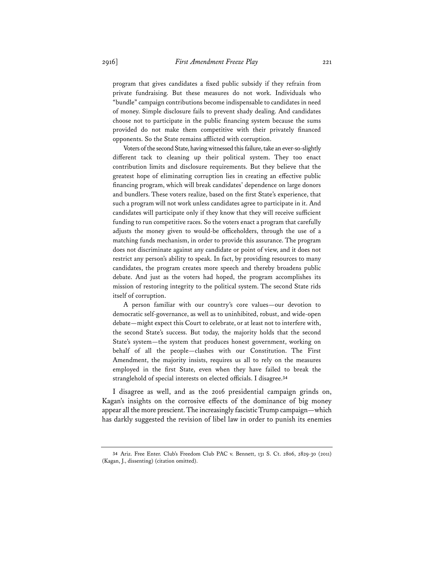program that gives candidates a fixed public subsidy if they refrain from private fundraising. But these measures do not work. Individuals who "bundle" campaign contributions become indispensable to candidates in need of money. Simple disclosure fails to prevent shady dealing. And candidates choose not to participate in the public financing system because the sums provided do not make them competitive with their privately financed opponents. So the State remains afflicted with corruption.

Voters of the second State, having witnessed this failure, take an ever-so-slightly different tack to cleaning up their political system. They too enact contribution limits and disclosure requirements. But they believe that the greatest hope of eliminating corruption lies in creating an effective public financing program, which will break candidates' dependence on large donors and bundlers. These voters realize, based on the first State's experience, that such a program will not work unless candidates agree to participate in it. And candidates will participate only if they know that they will receive sufficient funding to run competitive races. So the voters enact a program that carefully adjusts the money given to would-be officeholders, through the use of a matching funds mechanism, in order to provide this assurance. The program does not discriminate against any candidate or point of view, and it does not restrict any person's ability to speak. In fact, by providing resources to many candidates, the program creates more speech and thereby broadens public debate. And just as the voters had hoped, the program accomplishes its mission of restoring integrity to the political system. The second State rids itself of corruption.

A person familiar with our country's core values—our devotion to democratic self-governance, as well as to uninhibited, robust, and wide-open debate—might expect this Court to celebrate, or at least not to interfere with, the second State's success. But today, the majority holds that the second State's system—the system that produces honest government, working on behalf of all the people—clashes with our Constitution. The First Amendment, the majority insists, requires us all to rely on the measures employed in the first State, even when they have failed to break the stranglehold of special interests on elected officials. I disagree.**<sup>34</sup>**

I disagree as well, and as the 2016 presidential campaign grinds on, Kagan's insights on the corrosive effects of the dominance of big money appear all the more prescient. The increasingly fascistic Trump campaign—which has darkly suggested the revision of libel law in order to punish its enemies

**<sup>34</sup>** Ariz. Free Enter. Club's Freedom Club PAC v. Bennett, 131 S. Ct. 2806, 2829-30 (2011) (Kagan, J., dissenting) (citation omitted).